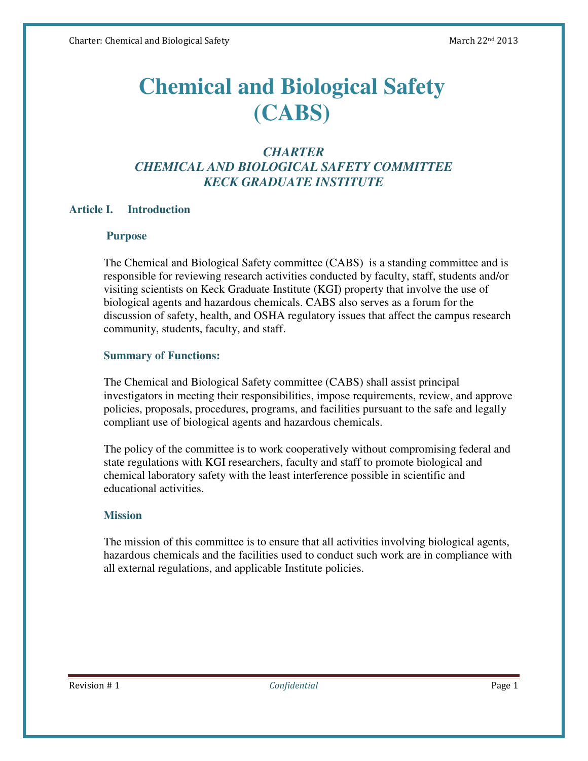# **Chemical and Biological Safety (CABS)**

# *CHARTER CHEMICAL AND BIOLOGICAL SAFETY COMMITTEE KECK GRADUATE INSTITUTE*

## **Article I. Introduction**

#### **Purpose**

The Chemical and Biological Safety committee (CABS) is a standing committee and is responsible for reviewing research activities conducted by faculty, staff, students and/or visiting scientists on Keck Graduate Institute (KGI) property that involve the use of biological agents and hazardous chemicals. CABS also serves as a forum for the discussion of safety, health, and OSHA regulatory issues that affect the campus research community, students, faculty, and staff.

#### **Summary of Functions:**

The Chemical and Biological Safety committee (CABS) shall assist principal investigators in meeting their responsibilities, impose requirements, review, and approve policies, proposals, procedures, programs, and facilities pursuant to the safe and legally compliant use of biological agents and hazardous chemicals.

The policy of the committee is to work cooperatively without compromising federal and state regulations with KGI researchers, faculty and staff to promote biological and chemical laboratory safety with the least interference possible in scientific and educational activities.

## **Mission**

The mission of this committee is to ensure that all activities involving biological agents, hazardous chemicals and the facilities used to conduct such work are in compliance with all external regulations, and applicable Institute policies.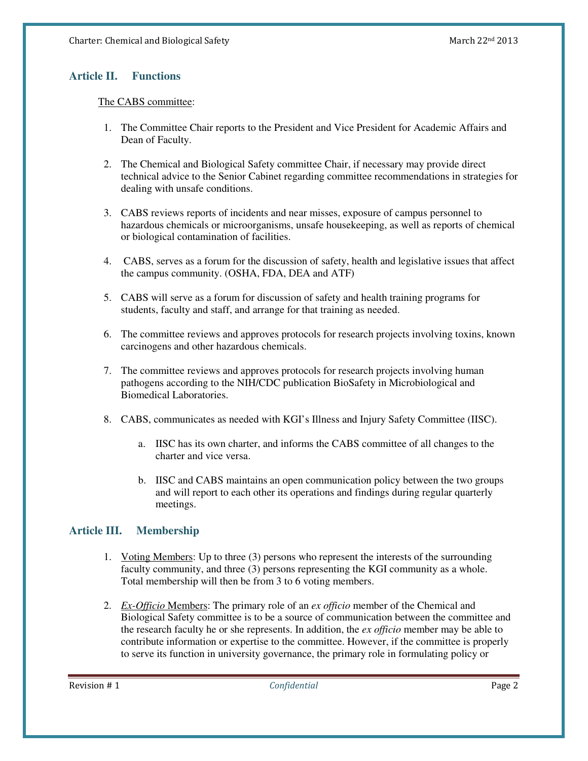#### **Article II. Functions**

#### The CABS committee:

- 1. The Committee Chair reports to the President and Vice President for Academic Affairs and Dean of Faculty.
- 2. The Chemical and Biological Safety committee Chair, if necessary may provide direct technical advice to the Senior Cabinet regarding committee recommendations in strategies for dealing with unsafe conditions.
- 3. CABS reviews reports of incidents and near misses, exposure of campus personnel to hazardous chemicals or microorganisms, unsafe housekeeping, as well as reports of chemical or biological contamination of facilities.
- 4. CABS, serves as a forum for the discussion of safety, health and legislative issues that affect the campus community. (OSHA, FDA, DEA and ATF)
- 5. CABS will serve as a forum for discussion of safety and health training programs for students, faculty and staff, and arrange for that training as needed.
- 6. The committee reviews and approves protocols for research projects involving toxins, known carcinogens and other hazardous chemicals.
- 7. The committee reviews and approves protocols for research projects involving human pathogens according to the NIH/CDC publication BioSafety in Microbiological and Biomedical Laboratories.
- 8. CABS, communicates as needed with KGI's Illness and Injury Safety Committee (IISC).
	- a. IISC has its own charter, and informs the CABS committee of all changes to the charter and vice versa.
	- b. IISC and CABS maintains an open communication policy between the two groups and will report to each other its operations and findings during regular quarterly meetings.

## **Article III. Membership**

- 1. Voting Members: Up to three (3) persons who represent the interests of the surrounding faculty community, and three (3) persons representing the KGI community as a whole. Total membership will then be from 3 to 6 voting members.
- 2. *Ex-Officio* Members: The primary role of an *ex officio* member of the Chemical and Biological Safety committee is to be a source of communication between the committee and the research faculty he or she represents. In addition, the *ex officio* member may be able to contribute information or expertise to the committee. However, if the committee is properly to serve its function in university governance, the primary role in formulating policy or